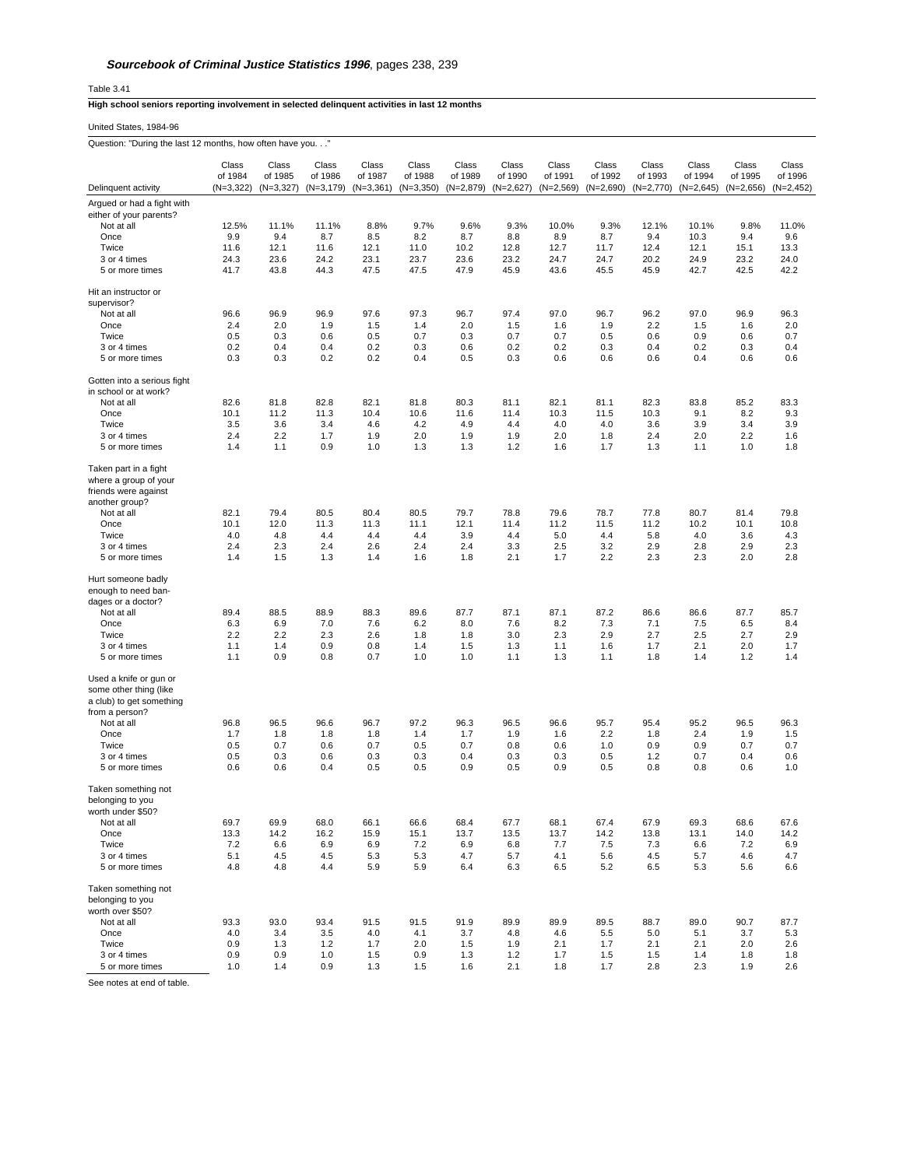Table 3.41

## **High school seniors reporting involvement in selected delinquent activities in last 12 months**

United States, 1984-96 Question: "During the last 12 months, how often have you. . ."

| Question: "During the last 12 months, how often have you. $\dots$                                              |                           |                           |                           |                           |                           |                           |                           |                           |                           |                           |                           |                           |                           |
|----------------------------------------------------------------------------------------------------------------|---------------------------|---------------------------|---------------------------|---------------------------|---------------------------|---------------------------|---------------------------|---------------------------|---------------------------|---------------------------|---------------------------|---------------------------|---------------------------|
|                                                                                                                | Class                     | Class                     | Class                     | Class                     | Class                     | Class                     | Class                     | Class                     | Class                     | Class                     | Class                     | Class                     | Class                     |
| Delinquent activity                                                                                            | of 1984<br>$(N=3,322)$    | of 1985<br>$(N=3,327)$    | of 1986<br>$(N=3, 179)$   | of 1987<br>$(N=3,361)$    | of 1988<br>$(N=3,350)$    | of 1989<br>$(N=2,879)$    | of 1990<br>$(N=2,627)$    | of 1991<br>$(N=2,569)$    | of 1992<br>$(N=2,690)$    | of 1993<br>$(N=2,770)$    | of 1994<br>$(N=2,645)$    | of 1995<br>$(N=2,656)$    | of 1996<br>$(N=2, 452)$   |
|                                                                                                                |                           |                           |                           |                           |                           |                           |                           |                           |                           |                           |                           |                           |                           |
| Argued or had a fight with<br>either of your parents?                                                          |                           |                           |                           |                           |                           |                           |                           |                           |                           |                           |                           |                           |                           |
| Not at all                                                                                                     | 12.5%                     | 11.1%                     | 11.1%                     | 8.8%                      | 9.7%                      | 9.6%                      | 9.3%                      | 10.0%                     | 9.3%                      | 12.1%                     | 10.1%                     | 9.8%                      | 11.0%                     |
| Once                                                                                                           | 9.9                       | 9.4                       | 8.7                       | 8.5                       | 8.2                       | 8.7                       | 8.8                       | 8.9                       | 8.7                       | 9.4                       | 10.3                      | 9.4                       | 9.6                       |
| Twice                                                                                                          | 11.6                      | 12.1                      | 11.6                      | 12.1                      | 11.0                      | 10.2                      | 12.8                      | 12.7                      | 11.7                      | 12.4                      | 12.1                      | 15.1                      | 13.3                      |
| 3 or 4 times                                                                                                   | 24.3                      | 23.6                      | 24.2                      | 23.1                      | 23.7                      | 23.6                      | 23.2                      | 24.7                      | 24.7                      | 20.2                      | 24.9                      | 23.2                      | 24.0                      |
| 5 or more times                                                                                                | 41.7                      | 43.8                      | 44.3                      | 47.5                      | 47.5                      | 47.9                      | 45.9                      | 43.6                      | 45.5                      | 45.9                      | 42.7                      | 42.5                      | 42.2                      |
| Hit an instructor or                                                                                           |                           |                           |                           |                           |                           |                           |                           |                           |                           |                           |                           |                           |                           |
| supervisor?                                                                                                    |                           |                           |                           |                           |                           |                           |                           |                           |                           |                           |                           |                           |                           |
| Not at all                                                                                                     | 96.6                      | 96.9                      | 96.9                      | 97.6                      | 97.3                      | 96.7                      | 97.4                      | 97.0                      | 96.7                      | 96.2                      | 97.0                      | 96.9                      | 96.3                      |
| Once                                                                                                           | 2.4                       | 2.0                       | 1.9                       | 1.5                       | 1.4                       | 2.0                       | 1.5                       | 1.6                       | 1.9                       | 2.2                       | 1.5                       | 1.6                       | 2.0                       |
| Twice                                                                                                          | 0.5                       | 0.3                       | 0.6                       | 0.5                       | 0.7                       | 0.3                       | 0.7                       | 0.7                       | 0.5                       | 0.6                       | 0.9                       | 0.6                       | 0.7                       |
| 3 or 4 times                                                                                                   | 0.2                       | 0.4                       | 0.4                       | 0.2                       | 0.3                       | 0.6                       | 0.2                       | 0.2                       | 0.3                       | 0.4                       | 0.2                       | 0.3                       | 0.4                       |
| 5 or more times                                                                                                | 0.3                       | 0.3                       | 0.2                       | 0.2                       | 0.4                       | 0.5                       | 0.3                       | 0.6                       | 0.6                       | 0.6                       | 0.4                       | 0.6                       | 0.6                       |
| Gotten into a serious fight                                                                                    |                           |                           |                           |                           |                           |                           |                           |                           |                           |                           |                           |                           |                           |
| in school or at work?                                                                                          |                           |                           |                           |                           |                           |                           |                           |                           |                           |                           |                           |                           |                           |
| Not at all                                                                                                     | 82.6                      | 81.8                      | 82.8                      | 82.1                      | 81.8                      | 80.3                      | 81.1                      | 82.1                      | 81.1                      | 82.3                      | 83.8                      | 85.2                      | 83.3                      |
| Once                                                                                                           | 10.1                      | 11.2                      | 11.3                      | 10.4                      | 10.6                      | 11.6                      | 11.4                      | 10.3                      | 11.5                      | 10.3                      | 9.1                       | 8.2                       | 9.3                       |
| Twice                                                                                                          | 3.5                       | 3.6                       | 3.4                       | 4.6                       | 4.2                       | 4.9                       | 4.4                       | 4.0                       | 4.0                       | 3.6                       | 3.9                       | 3.4                       | 3.9                       |
| 3 or 4 times                                                                                                   | 2.4                       | 2.2                       | 1.7                       | 1.9                       | 2.0                       | 1.9                       | 1.9                       | 2.0                       | 1.8                       | 2.4                       | 2.0                       | 2.2                       | 1.6                       |
| 5 or more times                                                                                                | 1.4                       | 1.1                       | 0.9                       | 1.0                       | 1.3                       | 1.3                       | 1.2                       | 1.6                       | 1.7                       | 1.3                       | 1.1                       | 1.0                       | 1.8                       |
| Taken part in a fight<br>where a group of your<br>friends were against                                         |                           |                           |                           |                           |                           |                           |                           |                           |                           |                           |                           |                           |                           |
| another group?                                                                                                 |                           |                           |                           |                           |                           |                           |                           |                           |                           |                           |                           |                           |                           |
| Not at all                                                                                                     | 82.1                      | 79.4                      | 80.5                      | 80.4                      | 80.5                      | 79.7                      | 78.8                      | 79.6                      | 78.7                      | 77.8                      | 80.7                      | 81.4                      | 79.8                      |
| Once                                                                                                           | 10.1                      | 12.0                      | 11.3                      | 11.3                      | 11.1                      | 12.1                      | 11.4                      | 11.2                      | 11.5                      | 11.2                      | 10.2                      | 10.1                      | 10.8                      |
| Twice                                                                                                          | 4.0                       | 4.8                       | 4.4                       | 4.4                       | 4.4                       | 3.9                       | 4.4                       | 5.0                       | 4.4                       | 5.8                       | 4.0                       | 3.6                       | 4.3                       |
| 3 or 4 times<br>5 or more times                                                                                | 2.4<br>1.4                | 2.3<br>1.5                | 2.4<br>1.3                | 2.6<br>1.4                | 2.4<br>1.6                | 2.4<br>1.8                | 3.3<br>2.1                | 2.5<br>1.7                | 3.2<br>2.2                | 2.9<br>2.3                | 2.8<br>2.3                | 2.9<br>2.0                | 2.3<br>2.8                |
| Hurt someone badly<br>enough to need ban-<br>dages or a doctor?<br>Not at all<br>Once<br>Twice<br>3 or 4 times | 89.4<br>6.3<br>2.2<br>1.1 | 88.5<br>6.9<br>2.2<br>1.4 | 88.9<br>7.0<br>2.3<br>0.9 | 88.3<br>7.6<br>2.6<br>0.8 | 89.6<br>6.2<br>1.8<br>1.4 | 87.7<br>8.0<br>1.8<br>1.5 | 87.1<br>7.6<br>3.0<br>1.3 | 87.1<br>8.2<br>2.3<br>1.1 | 87.2<br>7.3<br>2.9<br>1.6 | 86.6<br>7.1<br>2.7<br>1.7 | 86.6<br>7.5<br>2.5<br>2.1 | 87.7<br>6.5<br>2.7<br>2.0 | 85.7<br>8.4<br>2.9<br>1.7 |
| 5 or more times                                                                                                | 1.1                       | 0.9                       | 0.8                       | 0.7                       | 1.0                       | 1.0                       | 1.1                       | 1.3                       | 1.1                       | 1.8                       | 1.4                       | 1.2                       | 1.4                       |
| Used a knife or gun or<br>some other thing (like<br>a club) to get something<br>from a person?                 |                           |                           |                           |                           |                           |                           |                           |                           |                           |                           |                           |                           |                           |
| Not at all                                                                                                     | 96.8                      | 96.5                      | 96.6                      | 96.7                      | 97.2                      | 96.3                      | 96.5                      | 96.6                      | 95.7                      | 95.4                      | 95.2                      | 96.5                      | 96.3                      |
| Once                                                                                                           | 1.7                       | 1.8                       | 1.8                       | 1.8                       | 1.4                       | 1.7                       | 1.9                       | 1.6                       | 2.2                       | 1.8                       | 2.4                       | 1.9                       | 1.5                       |
| Twice                                                                                                          | 0.5                       | 0.7                       | 0.6                       | 0.7                       | 0.5                       | 0.7                       | 0.8                       | 0.6                       | 1.0                       | 0.9                       | 0.9                       | 0.7                       | 0.7                       |
| 3 or 4 times<br>5 or more times                                                                                | 0.5<br>0.6                | 0.3<br>0.6                | 0.6<br>0.4                | 0.3<br>0.5                | 0.3<br>0.5                | 0.4<br>0.9                | 0.3<br>0.5                | 0.3<br>0.9                | 0.5<br>0.5                | 1.2<br>0.8                | 0.7<br>0.8                | 0.4<br>0.6                | 0.6<br>1.0                |
| Taken something not<br>belonging to you                                                                        |                           |                           |                           |                           |                           |                           |                           |                           |                           |                           |                           |                           |                           |
| worth under \$50?                                                                                              |                           |                           |                           |                           |                           |                           |                           |                           |                           |                           |                           |                           |                           |
| Not at all                                                                                                     | 69.7                      | 69.9                      | 68.0                      | 66.1                      | 66.6                      | 68.4                      | 67.7                      | 68.1                      | 67.4                      | 67.9                      | 69.3                      | 68.6                      | 67.6                      |
| Once                                                                                                           | 13.3                      | 14.2                      | 16.2                      | 15.9                      | 15.1                      | 13.7                      | 13.5                      | 13.7                      | 14.2                      | 13.8                      | 13.1                      | 14.0                      | 14.2                      |
| Twice                                                                                                          | 7.2                       | 6.6                       | 6.9                       | 6.9                       | 7.2                       | 6.9                       | 6.8                       | 7.7                       | 7.5                       | 7.3                       | 6.6                       | 7.2                       | 6.9                       |
| 3 or 4 times                                                                                                   | 5.1                       | 4.5                       | 4.5                       | 5.3                       | 5.3                       | 4.7                       | 5.7                       | 4.1                       | 5.6                       | 4.5                       | 5.7                       | 4.6                       | 4.7                       |
| 5 or more times                                                                                                | 4.8                       | 4.8                       | 4.4                       | 5.9                       | 5.9                       | 6.4                       | 6.3                       | 6.5                       | 5.2                       | 6.5                       | 5.3                       | 5.6                       | 6.6                       |
| Taken something not<br>belonging to you<br>worth over \$50?<br>Not at all                                      | 93.3                      | 93.0                      | 93.4                      | 91.5                      | 91.5                      | 91.9                      | 89.9                      | 89.9                      | 89.5                      | 88.7                      | 89.0                      | 90.7                      | 87.7                      |
| Once                                                                                                           | 4.0                       | 3.4                       | 3.5                       | 4.0                       | 4.1                       | 3.7                       | 4.8                       | 4.6                       | 5.5                       | 5.0                       | 5.1                       | 3.7                       | 5.3                       |
| Twice                                                                                                          | 0.9                       | 1.3                       | $1.2$                     | 1.7                       | 2.0                       | 1.5                       | 1.9                       | 2.1                       | 1.7                       | 2.1                       | 2.1                       | 2.0                       | 2.6                       |
| 3 or 4 times                                                                                                   | 0.9                       | 0.9                       | 1.0                       | 1.5                       | 0.9                       | 1.3                       | 1.2                       | 1.7                       | 1.5                       | 1.5                       | 1.4                       | 1.8                       | 1.8                       |
| 5 or more times                                                                                                | 1.0                       | 1.4                       | 0.9                       | 1.3                       | 1.5                       | 1.6                       | 2.1                       | 1.8                       | 1.7                       | 2.8                       | 2.3                       | 1.9                       | 2.6                       |
|                                                                                                                |                           |                           |                           |                           |                           |                           |                           |                           |                           |                           |                           |                           |                           |

See notes at end of table.